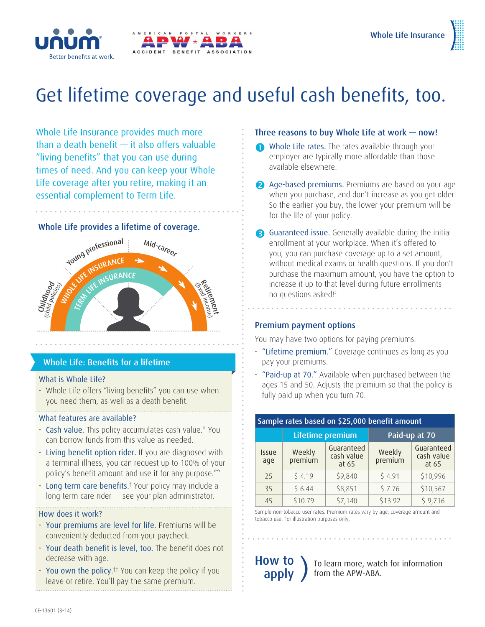

# Get lifetime coverage and useful cash benefits, too.

Whole Life Insurance provides much more than a death benefit — it also offers valuable "living benefits" that you can use during times of need. And you can keep your Whole Life coverage after you retire, making it an essential complement to Term Life.

#### Whole Life provides a lifetime of coverage.



## Whole Life: Benefits for a lifetime

#### What is Whole Life?

• Whole Life offers "living benefits" you can use when you need them, as well as a death benefit.

#### What features are available?

- Cash value. This policy accumulates cash value.\* You can borrow funds from this value as needed.
- Living benefit option rider. If you are diagnosed with a terminal illness, you can request up to 100% of your policy's benefit amount and use it for any purpose.\*\*
- Long term care benefits.<sup>†</sup> Your policy may include a long term care rider — see your plan administrator.

#### How does it work?

- Your premiums are level for life. Premiums will be conveniently deducted from your paycheck.
- Your death benefit is level, too. The benefit does not decrease with age.
- You own the policy.<sup> $+$ </sup> You can keep the policy if you leave or retire. You'll pay the same premium.

# Three reasons to buy Whole Life at work — now!

- Whole Life rates. The rates available through your employer are typically more affordable than those available elsewhere.
- 2 Age-based premiums. Premiums are based on your age when you purchase, and don't increase as you get older. So the earlier you buy, the lower your premium will be for the life of your policy.
- Guaranteed issue. Generally available during the initial enrollment at your workplace. When it's offered to you, you can purchase coverage up to a set amount, without medical exams or health questions. If you don't purchase the maximum amount, you have the option to increase it up to that level during future enrollments no questions asked!#

## Premium payment options

You may have two options for paying premiums:

- "Lifetime premium." Coverage continues as long as you pay your premiums.
- "Paid-up at 70." Available when purchased between the ages 15 and 50. Adjusts the premium so that the policy is fully paid up when you turn 70.

| Sample rates based on \$25,000 benefit amount |                   |                                   |                   |                                   |  |
|-----------------------------------------------|-------------------|-----------------------------------|-------------------|-----------------------------------|--|
|                                               | Lifetime premium  |                                   | Paid-up at 70     |                                   |  |
| <b>Issue</b><br>age                           | Weekly<br>premium | Guaranteed<br>cash value<br>at 65 | Weekly<br>premium | Guaranteed<br>cash value<br>at 65 |  |
| 25                                            | \$4.19            | \$9,840                           | \$4.91            | \$10,996                          |  |
| 35                                            | \$6.44            | \$8,851                           | \$7.76            | \$10,567                          |  |
| 45                                            | \$10.79           | \$7,140                           | \$13.92           | \$9,716                           |  |

Sample non-tobacco user rates. Premium rates vary by age, coverage amount and tobacco use. For illustration purposes only.

How to

**OW TO** are learn more, watch for information apply to from the APW-ABA. from the APW-ABA.